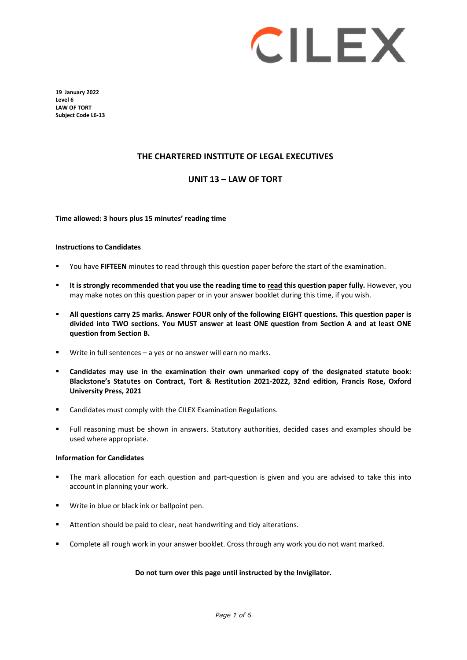

**19 January 2022 Level 6 LAW OF TORT Subject Code L6-13**

# **THE CHARTERED INSTITUTE OF LEGAL EXECUTIVES**

## **UNIT 13 – LAW OF TORT**

**Time allowed: 3 hours plus 15 minutes' reading time**

#### **Instructions to Candidates**

- You have **FIFTEEN** minutes to read through this question paper before the start of the examination.
- **It is strongly recommended that you use the reading time to read this question paper fully.** However, you may make notes on this question paper or in your answer booklet during this time, if you wish.
- **All questions carry 25 marks. Answer FOUR only of the following EIGHT questions. This question paper is divided into TWO sections. You MUST answer at least ONE question from Section A and at least ONE question from Section B.**
- Write in full sentences a yes or no answer will earn no marks.
- **Candidates may use in the examination their own unmarked copy of the designated statute book: Blackstone's Statutes on Contract, Tort & Restitution 2021-2022, 32nd edition, Francis Rose, Oxford University Press, 2021**
- Candidates must comply with the CILEX Examination Regulations.
- Full reasoning must be shown in answers. Statutory authorities, decided cases and examples should be used where appropriate.

#### **Information for Candidates**

- The mark allocation for each question and part-question is given and you are advised to take this into account in planning your work.
- Write in blue or black ink or ballpoint pen.
- Attention should be paid to clear, neat handwriting and tidy alterations.
- Complete all rough work in your answer booklet. Cross through any work you do not want marked.

#### **Do not turn over this page until instructed by the Invigilator.**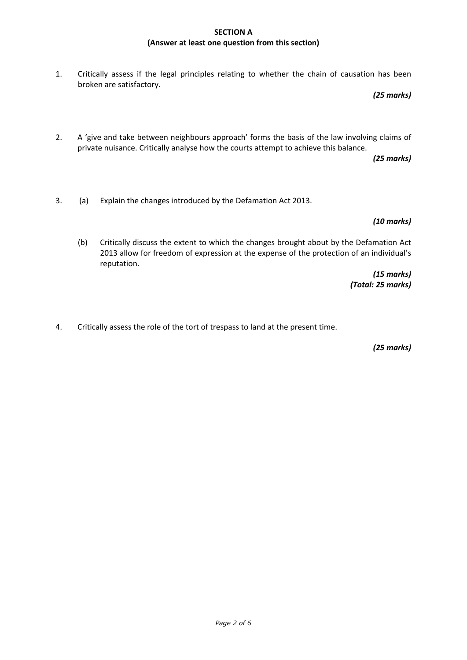## **SECTION A (Answer at least one question from this section)**

1. Critically assess if the legal principles relating to whether the chain of causation has been broken are satisfactory.

*(25 marks)*

2. A 'give and take between neighbours approach' forms the basis of the law involving claims of private nuisance. Critically analyse how the courts attempt to achieve this balance.

*(25 marks)*

3. (a) Explain the changes introduced by the Defamation Act 2013.

*(10 marks)*

(b) Critically discuss the extent to which the changes brought about by the Defamation Act 2013 allow for freedom of expression at the expense of the protection of an individual's reputation.

> *(15 marks) (Total: 25 marks)*

4. Critically assess the role of the tort of trespass to land at the present time.

*(25 marks)*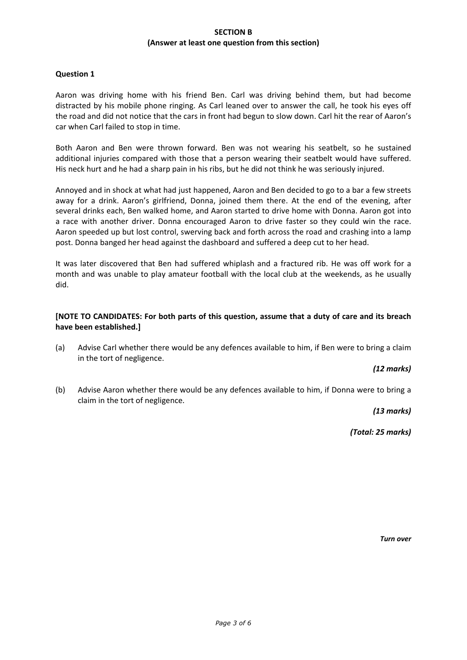## **SECTION B (Answer at least one question from this section)**

## **Question 1**

Aaron was driving home with his friend Ben. Carl was driving behind them, but had become distracted by his mobile phone ringing. As Carl leaned over to answer the call, he took his eyes off the road and did not notice that the cars in front had begun to slow down. Carl hit the rear of Aaron's car when Carl failed to stop in time.

Both Aaron and Ben were thrown forward. Ben was not wearing his seatbelt, so he sustained additional injuries compared with those that a person wearing their seatbelt would have suffered. His neck hurt and he had a sharp pain in his ribs, but he did not think he was seriously injured.

Annoyed and in shock at what had just happened, Aaron and Ben decided to go to a bar a few streets away for a drink. Aaron's girlfriend, Donna, joined them there. At the end of the evening, after several drinks each, Ben walked home, and Aaron started to drive home with Donna. Aaron got into a race with another driver. Donna encouraged Aaron to drive faster so they could win the race. Aaron speeded up but lost control, swerving back and forth across the road and crashing into a lamp post. Donna banged her head against the dashboard and suffered a deep cut to her head.

It was later discovered that Ben had suffered whiplash and a fractured rib. He was off work for a month and was unable to play amateur football with the local club at the weekends, as he usually did.

## **[NOTE TO CANDIDATES: For both parts of this question, assume that a duty of care and its breach have been established.]**

(a) Advise Carl whether there would be any defences available to him, if Ben were to bring a claim in the tort of negligence.

#### *(12 marks)*

(b) Advise Aaron whether there would be any defences available to him, if Donna were to bring a claim in the tort of negligence.

*(13 marks)*

*(Total: 25 marks)*

*Turn over*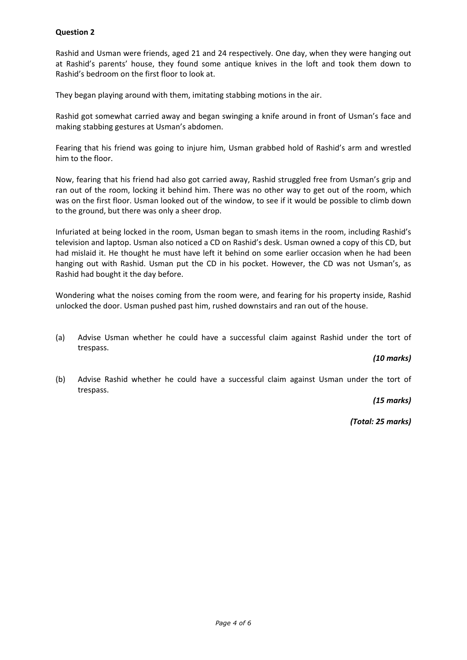# **Question 2**

Rashid and Usman were friends, aged 21 and 24 respectively. One day, when they were hanging out at Rashid's parents' house, they found some antique knives in the loft and took them down to Rashid's bedroom on the first floor to look at.

They began playing around with them, imitating stabbing motions in the air.

Rashid got somewhat carried away and began swinging a knife around in front of Usman's face and making stabbing gestures at Usman's abdomen.

Fearing that his friend was going to injure him, Usman grabbed hold of Rashid's arm and wrestled him to the floor.

Now, fearing that his friend had also got carried away, Rashid struggled free from Usman's grip and ran out of the room, locking it behind him. There was no other way to get out of the room, which was on the first floor. Usman looked out of the window, to see if it would be possible to climb down to the ground, but there was only a sheer drop.

Infuriated at being locked in the room, Usman began to smash items in the room, including Rashid's television and laptop. Usman also noticed a CD on Rashid's desk. Usman owned a copy of this CD, but had mislaid it. He thought he must have left it behind on some earlier occasion when he had been hanging out with Rashid. Usman put the CD in his pocket. However, the CD was not Usman's, as Rashid had bought it the day before.

Wondering what the noises coming from the room were, and fearing for his property inside, Rashid unlocked the door. Usman pushed past him, rushed downstairs and ran out of the house.

(a) Advise Usman whether he could have a successful claim against Rashid under the tort of trespass.

*(10 marks)*

(b) Advise Rashid whether he could have a successful claim against Usman under the tort of trespass.

*(15 marks)*

*(Total: 25 marks)*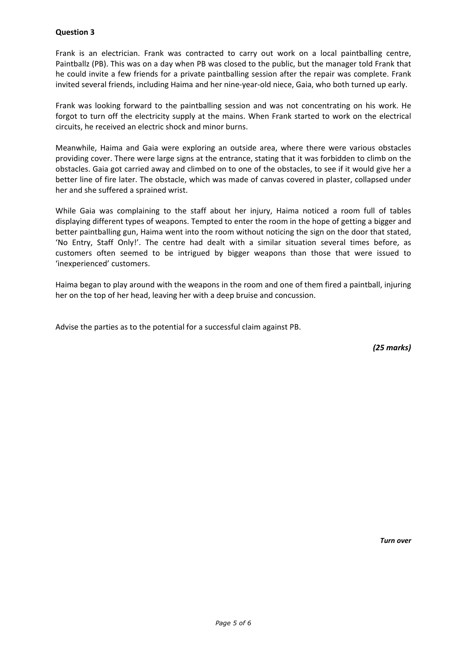## **Question 3**

Frank is an electrician. Frank was contracted to carry out work on a local paintballing centre, Paintballz (PB). This was on a day when PB was closed to the public, but the manager told Frank that he could invite a few friends for a private paintballing session after the repair was complete. Frank invited several friends, including Haima and her nine-year-old niece, Gaia, who both turned up early.

Frank was looking forward to the paintballing session and was not concentrating on his work. He forgot to turn off the electricity supply at the mains. When Frank started to work on the electrical circuits, he received an electric shock and minor burns.

Meanwhile, Haima and Gaia were exploring an outside area, where there were various obstacles providing cover. There were large signs at the entrance, stating that it was forbidden to climb on the obstacles. Gaia got carried away and climbed on to one of the obstacles, to see if it would give her a better line of fire later. The obstacle, which was made of canvas covered in plaster, collapsed under her and she suffered a sprained wrist.

While Gaia was complaining to the staff about her injury, Haima noticed a room full of tables displaying different types of weapons. Tempted to enter the room in the hope of getting a bigger and better paintballing gun, Haima went into the room without noticing the sign on the door that stated, 'No Entry, Staff Only!'. The centre had dealt with a similar situation several times before, as customers often seemed to be intrigued by bigger weapons than those that were issued to 'inexperienced' customers.

Haima began to play around with the weapons in the room and one of them fired a paintball, injuring her on the top of her head, leaving her with a deep bruise and concussion.

Advise the parties as to the potential for a successful claim against PB.

*(25 marks)*

*Turn over*